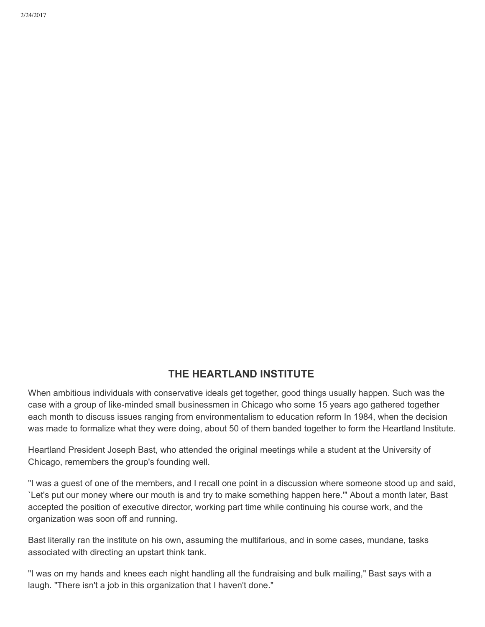## **THE HEARTLAND INSTITUTE**

When ambitious individuals with conservative ideals get together, good things usually happen. Such was the case with a group of like-minded small businessmen in Chicago who some 15 years ago gathered together each month to discuss issues ranging from environmentalism to education reform In 1984, when the decision was made to formalize what they were doing, about 50 of them banded together to form the Heartland Institute.

Heartland President Joseph Bast, who attended the original meetings while a student at the University of Chicago, remembers the group's founding well.

"I was a guest of one of the members, and I recall one point in a discussion where someone stood up and said, `Let's put our money where our mouth is and try to make something happen here.'" About a month later, Bast accepted the position of executive director, working part time while continuing his course work, and the organization was soon off and running.

Bast literally ran the institute on his own, assuming the multifarious, and in some cases, mundane, tasks associated with directing an upstart think tank.

"I was on my hands and knees each night handling all the fundraising and bulk mailing," Bast says with a laugh. "There isn't a job in this organization that I haven't done."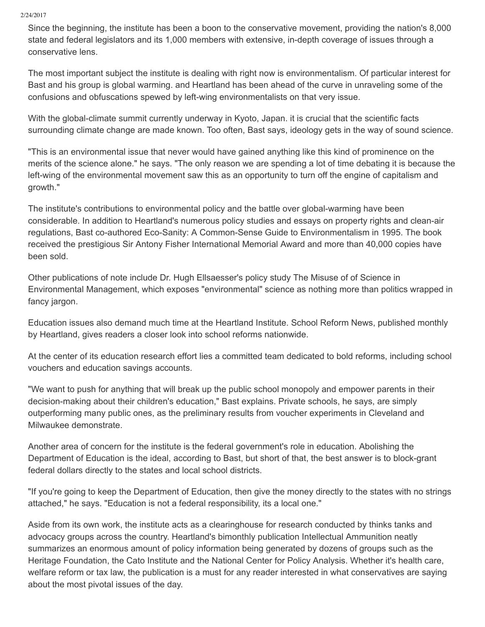2/24/2017

Since the beginning, the institute has been a boon to the conservative movement, providing the nation's 8,000 state and federal legislators and its 1,000 members with extensive, in-depth coverage of issues through a conservative lens.

The most important subject the institute is dealing with right now is environmentalism. Of particular interest for Bast and his group is global warming. and Heartland has been ahead of the curve in unraveling some of the confusions and obfuscations spewed by left-wing environmentalists on that very issue.

With the global-climate summit currently underway in Kyoto, Japan. it is crucial that the scientific facts surrounding climate change are made known. Too often, Bast says, ideology gets in the way of sound science.

"This is an environmental issue that never would have gained anything like this kind of prominence on the merits of the science alone." he says. "The only reason we are spending a lot of time debating it is because the left-wing of the environmental movement saw this as an opportunity to turn off the engine of capitalism and growth."

The institute's contributions to environmental policy and the battle over global-warming have been considerable. In addition to Heartland's numerous policy studies and essays on property rights and clean-air regulations, Bast co-authored Eco-Sanity: A Common-Sense Guide to Environmentalism in 1995. The book received the prestigious Sir Antony Fisher International Memorial Award and more than 40,000 copies have been sold.

Other publications of note include Dr. Hugh Ellsaesser's policy study The Misuse of of Science in Environmental Management, which exposes "environmental" science as nothing more than politics wrapped in fancy jargon.

Education issues also demand much time at the Heartland Institute. School Reform News, published monthly by Heartland, gives readers a closer look into school reforms nationwide.

At the center of its education research effort lies a committed team dedicated to bold reforms, including school vouchers and education savings accounts.

"We want to push for anything that will break up the public school monopoly and empower parents in their decision-making about their children's education," Bast explains. Private schools, he says, are simply outperforming many public ones, as the preliminary results from voucher experiments in Cleveland and Milwaukee demonstrate.

Another area of concern for the institute is the federal government's role in education. Abolishing the Department of Education is the ideal, according to Bast, but short of that, the best answer is to block-grant federal dollars directly to the states and local school districts.

"If you're going to keep the Department of Education, then give the money directly to the states with no strings attached," he says. "Education is not a federal responsibility, its a local one."

Aside from its own work, the institute acts as a clearinghouse for research conducted by thinks tanks and advocacy groups across the country. Heartland's bimonthly publication Intellectual Ammunition neatly summarizes an enormous amount of policy information being generated by dozens of groups such as the Heritage Foundation, the Cato Institute and the National Center for Policy Analysis. Whether it's health care, welfare reform or tax law, the publication is a must for any reader interested in what conservatives are saying about the most pivotal issues of the day.